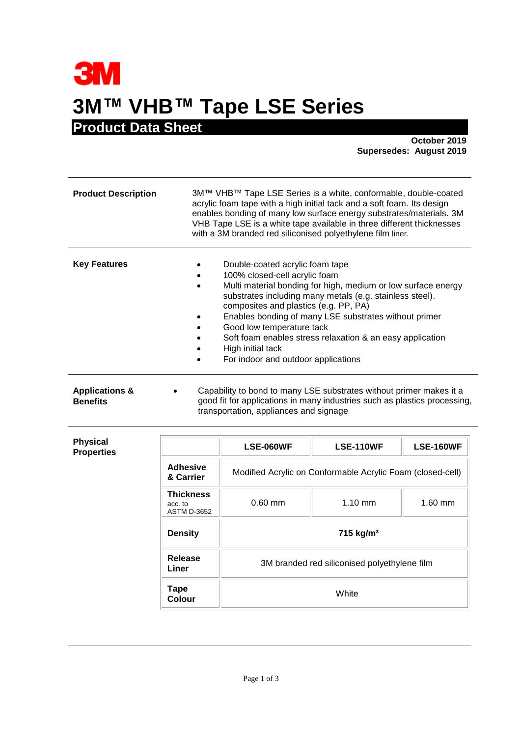## **3M 3M™ VHB™ Tape LSE Series Product Data Sheet**

**October 2019 Supersedes: August 2019**

| <b>Product Description</b>                   | 3M™ VHB™ Tape LSE Series is a white, conformable, double-coated<br>acrylic foam tape with a high initial tack and a soft foam. Its design<br>enables bonding of many low surface energy substrates/materials. 3M<br>VHB Tape LSE is a white tape available in three different thicknesses<br>with a 3M branded red siliconised polyethylene film liner.                                                                                               |  |
|----------------------------------------------|-------------------------------------------------------------------------------------------------------------------------------------------------------------------------------------------------------------------------------------------------------------------------------------------------------------------------------------------------------------------------------------------------------------------------------------------------------|--|
| <b>Key Features</b>                          | Double-coated acrylic foam tape<br>100% closed-cell acrylic foam<br>Multi material bonding for high, medium or low surface energy<br>substrates including many metals (e.g. stainless steel).<br>composites and plastics (e.g. PP, PA)<br>Enables bonding of many LSE substrates without primer<br>Good low temperature tack<br>Soft foam enables stress relaxation & an easy application<br>High initial tack<br>For indoor and outdoor applications |  |
| <b>Applications &amp;</b><br><b>Benefits</b> | Capability to bond to many LSE substrates without primer makes it a<br>good fit for applications in many industries such as plastics processing,<br>transportation, appliances and signage                                                                                                                                                                                                                                                            |  |

| <b>Physical</b><br><b>Properties</b> |                                                   | <b>LSE-060WF</b>                                           | <b>LSE-110WF</b>                             | <b>LSE-160WF</b> |
|--------------------------------------|---------------------------------------------------|------------------------------------------------------------|----------------------------------------------|------------------|
|                                      | <b>Adhesive</b><br>& Carrier                      | Modified Acrylic on Conformable Acrylic Foam (closed-cell) |                                              |                  |
|                                      | <b>Thickness</b><br>acc. to<br><b>ASTM D-3652</b> | $0.60$ mm                                                  | $1.10$ mm                                    | $1.60$ mm        |
|                                      | <b>Density</b>                                    | 715 kg/m <sup>3</sup>                                      |                                              |                  |
|                                      | Release<br>Liner                                  |                                                            | 3M branded red siliconised polyethylene film |                  |
|                                      | Tape<br>Colour                                    |                                                            | White                                        |                  |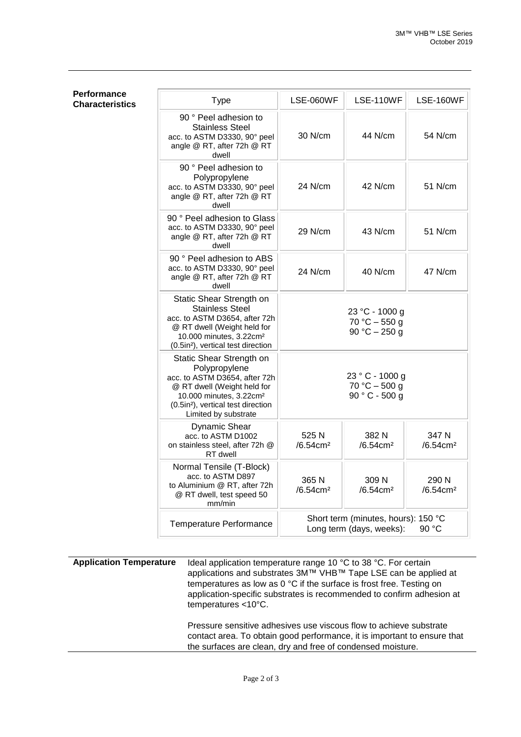| <b>Type</b>                                                                                                                                                                                                                | <b>LSE-060WF</b>                                                         | <b>LSE-110WF</b>                                       | <b>LSE-160WF</b>              |
|----------------------------------------------------------------------------------------------------------------------------------------------------------------------------------------------------------------------------|--------------------------------------------------------------------------|--------------------------------------------------------|-------------------------------|
| 90 ° Peel adhesion to<br><b>Stainless Steel</b><br>acc. to ASTM D3330, 90° peel<br>angle @ RT, after 72h @ RT<br>dwell                                                                                                     | 30 N/cm                                                                  | 44 N/cm                                                | 54 N/cm                       |
| 90 ° Peel adhesion to<br>Polypropylene<br>acc. to ASTM D3330, 90° peel<br>angle @ RT, after 72h @ RT<br>dwell                                                                                                              | 24 N/cm                                                                  | 42 N/cm                                                | 51 N/cm                       |
| 90 ° Peel adhesion to Glass<br>acc. to ASTM D3330, 90° peel<br>angle @ RT, after 72h @ RT<br>dwell                                                                                                                         | 29 N/cm                                                                  | 43 N/cm                                                | 51 N/cm                       |
| 90 ° Peel adhesion to ABS<br>acc. to ASTM D3330, 90° peel<br>angle @ RT, after 72h @ RT<br>dwell                                                                                                                           | 24 N/cm                                                                  | 40 N/cm                                                | 47 N/cm                       |
| Static Shear Strength on<br><b>Stainless Steel</b><br>acc. to ASTM D3654, after 72h<br>@ RT dwell (Weight held for<br>10.000 minutes, 3.22cm <sup>2</sup><br>(0.5in <sup>2</sup> ), vertical test direction                |                                                                          | 23 °C - 1000 g<br>$70 °C - 550 g$<br>90 °C $-$ 250 g   |                               |
| Static Shear Strength on<br>Polypropylene<br>acc. to ASTM D3654, after 72h<br>@ RT dwell (Weight held for<br>10.000 minutes, 3.22cm <sup>2</sup><br>(0.5in <sup>2</sup> ), vertical test direction<br>Limited by substrate |                                                                          | 23 ° C - 1000 g<br>$70 °C - 500 g$<br>$90 ° C - 500 g$ |                               |
| <b>Dynamic Shear</b><br>acc. to ASTM D1002<br>on stainless steel, after 72h @<br>RT dwell                                                                                                                                  | 525 N<br>$/6.54$ cm <sup>2</sup>                                         | 382 N<br>/6.54cm <sup>2</sup>                          | 347 N<br>/6.54cm <sup>2</sup> |
| Normal Tensile (T-Block)<br>acc. to ASTM D897<br>to Aluminium @ RT, after 72h<br>@ RT dwell, test speed 50<br>mm/min                                                                                                       | 365 N<br>/6.54cm <sup>2</sup>                                            | 309 N<br>/6.54cm <sup>2</sup>                          | 290 N<br>/6.54cm <sup>2</sup> |
| Temperature Performance                                                                                                                                                                                                    | Short term (minutes, hours): 150 °C<br>Long term (days, weeks):<br>90 °C |                                                        |                               |

**Performance Characteristics** 

**Application Temperature** Ideal application temperature range 10 °C to 38 °C. For certain applications and substrates 3M™ VHB™ Tape LSE can be applied at temperatures as low as 0 °C if the surface is frost free. Testing on application-specific substrates is recommended to confirm adhesion at temperatures <10°C.

> Pressure sensitive adhesives use viscous flow to achieve substrate contact area. To obtain good performance, it is important to ensure that the surfaces are clean, dry and free of condensed moisture.